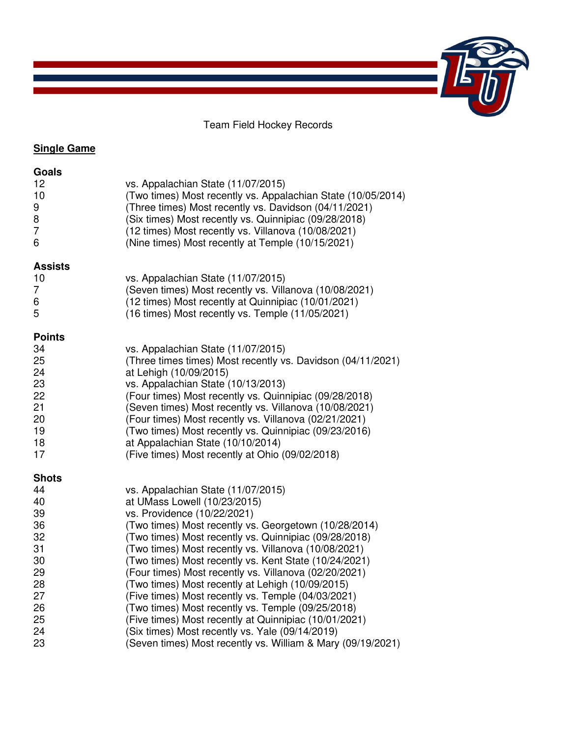Team Field Hockey Records

# **Single Game**

| Goals<br>12<br>10<br>9<br>8<br>7<br>6                                                            | vs. Appalachian State (11/07/2015)<br>(Two times) Most recently vs. Appalachian State (10/05/2014)<br>(Three times) Most recently vs. Davidson (04/11/2021)<br>(Six times) Most recently vs. Quinnipiac (09/28/2018)<br>(12 times) Most recently vs. Villanova (10/08/2021)<br>(Nine times) Most recently at Temple (10/15/2021)                                                                                                                                                                                                                                                                                                                                                                                                        |
|--------------------------------------------------------------------------------------------------|-----------------------------------------------------------------------------------------------------------------------------------------------------------------------------------------------------------------------------------------------------------------------------------------------------------------------------------------------------------------------------------------------------------------------------------------------------------------------------------------------------------------------------------------------------------------------------------------------------------------------------------------------------------------------------------------------------------------------------------------|
| <b>Assists</b><br>10<br>7<br>6<br>5                                                              | vs. Appalachian State (11/07/2015)<br>(Seven times) Most recently vs. Villanova (10/08/2021)<br>(12 times) Most recently at Quinnipiac (10/01/2021)<br>(16 times) Most recently vs. Temple (11/05/2021)                                                                                                                                                                                                                                                                                                                                                                                                                                                                                                                                 |
| <b>Points</b><br>34<br>25<br>24<br>23<br>22<br>21<br>20<br>19<br>18<br>17                        | vs. Appalachian State (11/07/2015)<br>(Three times times) Most recently vs. Davidson (04/11/2021)<br>at Lehigh (10/09/2015)<br>vs. Appalachian State (10/13/2013)<br>(Four times) Most recently vs. Quinnipiac (09/28/2018)<br>(Seven times) Most recently vs. Villanova (10/08/2021)<br>(Four times) Most recently vs. Villanova (02/21/2021)<br>(Two times) Most recently vs. Quinnipiac (09/23/2016)<br>at Appalachian State (10/10/2014)<br>(Five times) Most recently at Ohio (09/02/2018)                                                                                                                                                                                                                                         |
| <b>Shots</b><br>44<br>40<br>39<br>36<br>32<br>31<br>30<br>29<br>28<br>27<br>26<br>25<br>24<br>23 | vs. Appalachian State (11/07/2015)<br>at UMass Lowell (10/23/2015)<br>vs. Providence (10/22/2021)<br>(Two times) Most recently vs. Georgetown (10/28/2014)<br>(Two times) Most recently vs. Quinnipiac (09/28/2018)<br>(Two times) Most recently vs. Villanova (10/08/2021)<br>(Two times) Most recently vs. Kent State (10/24/2021)<br>(Four times) Most recently vs. Villanova (02/20/2021)<br>(Two times) Most recently at Lehigh (10/09/2015)<br>(Five times) Most recently vs. Temple (04/03/2021)<br>(Two times) Most recently vs. Temple (09/25/2018)<br>(Five times) Most recently at Quinnipiac (10/01/2021)<br>(Six times) Most recently vs. Yale (09/14/2019)<br>(Seven times) Most recently vs. William & Mary (09/19/2021) |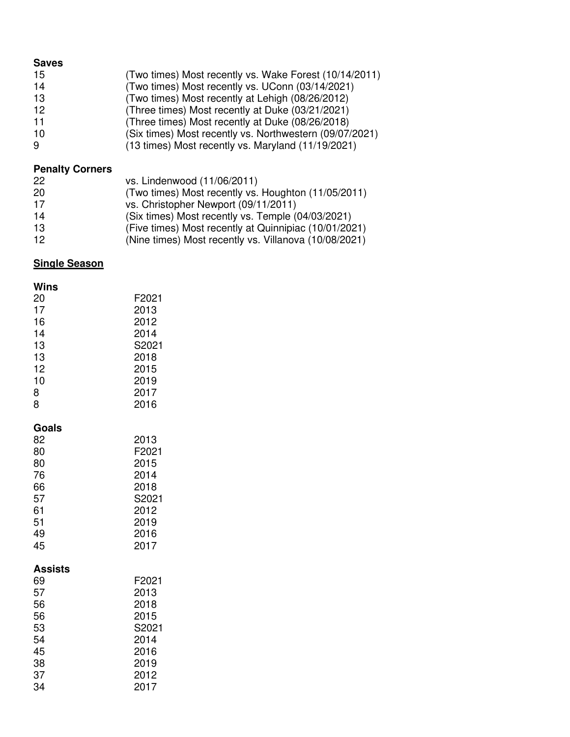#### **Saves**

| (Two times) Most recently vs. Wake Forest (10/14/2011)<br>15 |  |
|--------------------------------------------------------------|--|
|--------------------------------------------------------------|--|

- 14 (Two times) Most recently vs. UConn (03/14/2021)<br>13 (Two times) Most recently at Lehigh (08/26/2012)
- 13 (Two times) Most recently at Lehigh (08/26/2012)<br>12 (Three times) Most recently at Duke (03/21/2021)
- 12 (Three times) Most recently at Duke (03/21/2021)<br>11 (Three times) Most recently at Duke (08/26/2018)
- 11 (Three times) Most recently at Duke (08/26/2018)<br>10 (Six times) Most recently vs. Northwestern (09/07/
- 10 (Six times) Most recently vs. Northwestern (09/07/2021)<br>9 (13 times) Most recently vs. Maryland (11/19/2021)
- 9 (13 times) Most recently vs. Maryland (11/19/2021)

# **Penalty Corners**

| 22 | vs. Lindenwood (11/06/2011)                           |
|----|-------------------------------------------------------|
| 20 | (Two times) Most recently vs. Houghton (11/05/2011)   |
| 17 | vs. Christopher Newport (09/11/2011)                  |
| 14 | (Six times) Most recently vs. Temple (04/03/2021)     |
| 13 | (Five times) Most recently at Quinnipiac (10/01/2021) |
| 12 | (Nine times) Most recently vs. Villanova (10/08/2021) |

## **Single Season**

| Wins<br>20<br>17<br>16<br>14<br>13<br>13<br>12<br>10<br>8<br>8             | F2021<br>2013<br>2012<br>2014<br>S2021<br>2018<br>2015<br>2019<br>2017<br>2016 |
|----------------------------------------------------------------------------|--------------------------------------------------------------------------------|
| Goals<br>82<br>80<br>80<br>76<br>66<br>57<br>61<br>51<br>49<br>45          | 2013<br>F2021<br>2015<br>2014<br>2018<br>S2021<br>2012<br>2019<br>2016<br>2017 |
| <b>Assists</b><br>69<br>57<br>56<br>56<br>53<br>54<br>45<br>38<br>37<br>34 | F2021<br>2013<br>2018<br>2015<br>S2021<br>2014<br>2016<br>2019<br>2012<br>2017 |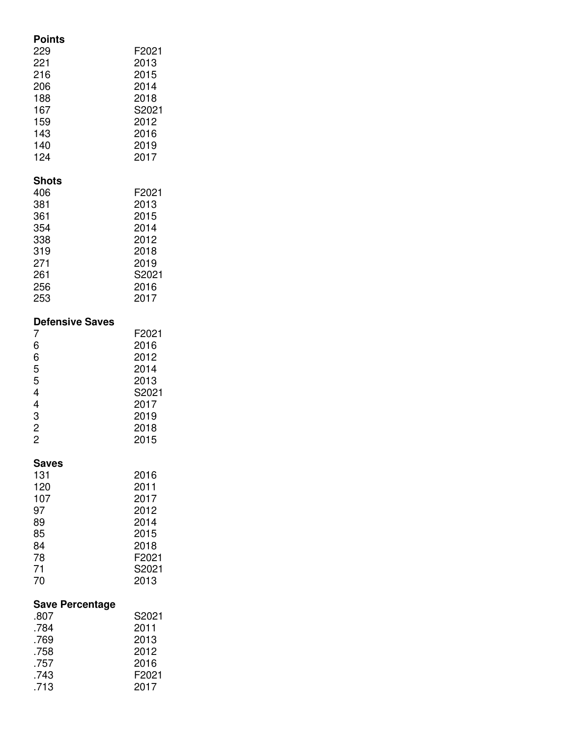| Points<br>229<br>221<br>216<br>206<br>188<br>167<br>159<br>143<br>140<br>124                            | F2021<br>2013<br>2015<br>2014<br>2018<br>S2021<br>2012<br>2016<br>2019<br>2017 |
|---------------------------------------------------------------------------------------------------------|--------------------------------------------------------------------------------|
| <b>Shots</b><br>406<br>381<br>361<br>354<br>338<br>319<br>271<br>261<br>256<br>253                      | F2021<br>2013<br>2015<br>2014<br>2012<br>2018<br>2019<br>S2021<br>2016<br>2017 |
| <b>Defensive Saves</b><br>7<br>6<br>6<br>5<br>5<br>4<br>4<br>$\begin{array}{c} 3 \\ 2 \\ 2 \end{array}$ | F2021<br>2016<br>2012<br>2014<br>2013<br>S2021<br>2017<br>2019<br>2018<br>2015 |
| Saves<br>131<br>120<br>107<br>97<br>89<br>85<br>84<br>78<br>71<br>70                                    | 2016<br>2011<br>2017<br>2012<br>2014<br>2015<br>2018<br>F2021<br>S2021<br>2013 |
| <b>Save Percentage</b><br>.807<br>.784<br>.769<br>.758<br>.757<br>.743<br>.713                          | S2021<br>2011<br>2013<br>2012<br>2016<br>F2021<br>2017                         |